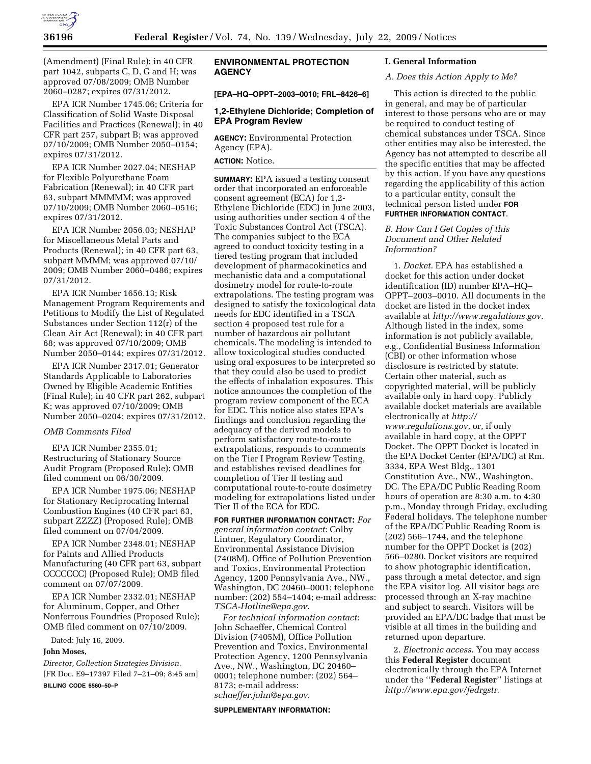

(Amendment) (Final Rule); in 40 CFR part 1042, subparts C, D, G and H; was approved 07/08/2009; OMB Number 2060–0287; expires 07/31/2012.

EPA ICR Number 1745.06; Criteria for Classification of Solid Waste Disposal Facilities and Practices (Renewal); in 40 CFR part 257, subpart B; was approved 07/10/2009; OMB Number 2050–0154; expires 07/31/2012.

EPA ICR Number 2027.04; NESHAP for Flexible Polyurethane Foam Fabrication (Renewal); in 40 CFR part 63, subpart MMMMM; was approved 07/10/2009; OMB Number 2060–0516; expires 07/31/2012.

EPA ICR Number 2056.03; NESHAP for Miscellaneous Metal Parts and Products (Renewal); in 40 CFR part 63, subpart MMMM; was approved 07/10/ 2009; OMB Number 2060–0486; expires 07/31/2012.

EPA ICR Number 1656.13; Risk Management Program Requirements and Petitions to Modify the List of Regulated Substances under Section 112(r) of the Clean Air Act (Renewal); in 40 CFR part 68; was approved 07/10/2009; OMB Number 2050–0144; expires 07/31/2012.

EPA ICR Number 2317.01; Generator Standards Applicable to Laboratories Owned by Eligible Academic Entities (Final Rule); in 40 CFR part 262, subpart K; was approved 07/10/2009; OMB Number 2050–0204; expires 07/31/2012.

#### *OMB Comments Filed*

EPA ICR Number 2355.01; Restructuring of Stationary Source Audit Program (Proposed Rule); OMB filed comment on 06/30/2009.

EPA ICR Number 1975.06; NESHAP for Stationary Reciprocating Internal Combustion Engines (40 CFR part 63, subpart ZZZZ) (Proposed Rule); OMB filed comment on 07/04/2009.

EPA ICR Number 2348.01; NESHAP for Paints and Allied Products Manufacturing (40 CFR part 63, subpart CCCCCCC) (Proposed Rule); OMB filed comment on 07/07/2009.

EPA ICR Number 2332.01; NESHAP for Aluminum, Copper, and Other Nonferrous Foundries (Proposed Rule); OMB filed comment on 07/10/2009.

Dated: July 16, 2009.

## **John Moses,**

*Director, Collection Strategies Division.*  [FR Doc. E9–17397 Filed 7–21–09; 8:45 am] **BILLING CODE 6560–50–P** 

# **ENVIRONMENTAL PROTECTION AGENCY**

**[EPA–HQ–OPPT–2003–0010; FRL–8426–6]** 

### **1,2-Ethylene Dichloride; Completion of EPA Program Review**

**AGENCY:** Environmental Protection Agency (EPA).

# **ACTION:** Notice.

**SUMMARY:** EPA issued a testing consent order that incorporated an enforceable consent agreement (ECA) for 1,2- Ethylene Dichloride (EDC) in June 2003, using authorities under section 4 of the Toxic Substances Control Act (TSCA). The companies subject to the ECA agreed to conduct toxicity testing in a tiered testing program that included development of pharmacokinetics and mechanistic data and a computational dosimetry model for route-to-route extrapolations. The testing program was designed to satisfy the toxicological data needs for EDC identified in a TSCA section 4 proposed test rule for a number of hazardous air pollutant chemicals. The modeling is intended to allow toxicological studies conducted using oral exposures to be interpreted so that they could also be used to predict the effects of inhalation exposures. This notice announces the completion of the program review component of the ECA for EDC. This notice also states EPA's findings and conclusion regarding the adequacy of the derived models to perform satisfactory route-to-route extrapolations, responds to comments on the Tier I Program Review Testing, and establishes revised deadlines for completion of Tier II testing and computational route-to-route dosimetry modeling for extrapolations listed under Tier II of the ECA for EDC.

**FOR FURTHER INFORMATION CONTACT:** *For general information contact*: Colby Lintner, Regulatory Coordinator, Environmental Assistance Division (7408M), Office of Pollution Prevention and Toxics, Environmental Protection Agency, 1200 Pennsylvania Ave., NW., Washington, DC 20460–0001; telephone number: (202) 554–1404; e-mail address: *TSCA-Hotline@epa.gov*.

*For technical information contact*: John Schaeffer, Chemical Control Division (7405M), Office Pollution Prevention and Toxics, Environmental Protection Agency, 1200 Pennsylvania Ave., NW., Washington, DC 20460– 0001; telephone number: (202) 564– 8173; e-mail address: *schaeffer.john@epa.gov*.

#### **SUPPLEMENTARY INFORMATION:**

#### **I. General Information**

#### *A. Does this Action Apply to Me?*

This action is directed to the public in general, and may be of particular interest to those persons who are or may be required to conduct testing of chemical substances under TSCA. Since other entities may also be interested, the Agency has not attempted to describe all the specific entities that may be affected by this action. If you have any questions regarding the applicability of this action to a particular entity, consult the technical person listed under **FOR FURTHER INFORMATION CONTACT**.

## *B. How Can I Get Copies of this Document and Other Related Information?*

1. *Docket*. EPA has established a docket for this action under docket identification (ID) number EPA–HQ– OPPT–2003–0010. All documents in the docket are listed in the docket index available at *http://www.regulations.gov*. Although listed in the index, some information is not publicly available, e.g., Confidential Business Information (CBI) or other information whose disclosure is restricted by statute. Certain other material, such as copyrighted material, will be publicly available only in hard copy. Publicly available docket materials are available electronically at *http:// www.regulations.gov*, or, if only available in hard copy, at the OPPT Docket. The OPPT Docket is located in the EPA Docket Center (EPA/DC) at Rm. 3334, EPA West Bldg., 1301 Constitution Ave., NW., Washington, DC. The EPA/DC Public Reading Room hours of operation are 8:30 a.m. to 4:30 p.m., Monday through Friday, excluding Federal holidays. The telephone number of the EPA/DC Public Reading Room is (202) 566–1744, and the telephone number for the OPPT Docket is (202) 566–0280. Docket visitors are required to show photographic identification, pass through a metal detector, and sign the EPA visitor log. All visitor bags are processed through an X-ray machine and subject to search. Visitors will be provided an EPA/DC badge that must be visible at all times in the building and returned upon departure.

2. *Electronic access*. You may access this **Federal Register** document electronically through the EPA Internet under the ''**Federal Register**'' listings at *http://www.epa.gov/fedrgstr*.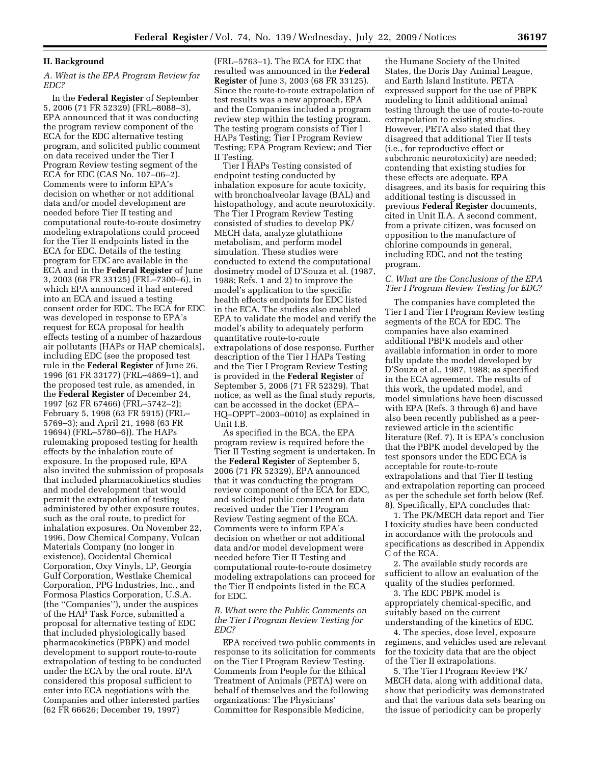## **II. Background**

## *A. What is the EPA Program Review for EDC?*

In the **Federal Register** of September 5, 2006 (71 FR 52329) (FRL–8088–3), EPA announced that it was conducting the program review component of the ECA for the EDC alternative testing program, and solicited public comment on data received under the Tier I Program Review testing segment of the ECA for EDC (CAS No. 107–06–2). Comments were to inform EPA's decision on whether or not additional data and/or model development are needed before Tier II testing and computational route-to-route dosimetry modeling extrapolations could proceed for the Tier II endpoints listed in the ECA for EDC. Details of the testing program for EDC are available in the ECA and in the **Federal Register** of June 3, 2003 (68 FR 33125) (FRL–7300–6), in which EPA announced it had entered into an ECA and issued a testing consent order for EDC. The ECA for EDC was developed in response to EPA's request for ECA proposal for health effects testing of a number of hazardous air pollutants (HAPs or HAP chemicals), including EDC (see the proposed test rule in the **Federal Register** of June 26, 1996 (61 FR 33177) (FRL–4869–1), and the proposed test rule, as amended, in the **Federal Register** of December 24, 1997 (62 FR 67466) (FRL–5742–2); February 5, 1998 (63 FR 5915) (FRL– 5769–3); and April 21, 1998 (63 FR 19694) (FRL–5780–6)). The HAPs rulemaking proposed testing for health effects by the inhalation route of exposure. In the proposed rule, EPA also invited the submission of proposals that included pharmacokinetics studies and model development that would permit the extrapolation of testing administered by other exposure routes, such as the oral route, to predict for inhalation exposures. On November 22, 1996, Dow Chemical Company, Vulcan Materials Company (no longer in existence), Occidental Chemical Corporation, Oxy Vinyls, LP, Georgia Gulf Corporation, Westlake Chemical Corporation, PPG Industries, Inc., and Formosa Plastics Corporation, U.S.A. (the ''Companies''), under the auspices of the HAP Task Force, submitted a proposal for alternative testing of EDC that included physiologically based pharmacokinetics (PBPK) and model development to support route-to-route extrapolation of testing to be conducted under the ECA by the oral route. EPA considered this proposal sufficient to enter into ECA negotiations with the Companies and other interested parties (62 FR 66626; December 19, 1997)

(FRL–5763–1). The ECA for EDC that resulted was announced in the **Federal Register** of June 3, 2003 (68 FR 33125). Since the route-to-route extrapolation of test results was a new approach, EPA and the Companies included a program review step within the testing program. The testing program consists of Tier I HAPs Testing; Tier I Program Review Testing; EPA Program Review; and Tier II Testing.

Tier I HAPs Testing consisted of endpoint testing conducted by inhalation exposure for acute toxicity, with bronchoalveolar lavage (BAL) and histopathology, and acute neurotoxicity. The Tier I Program Review Testing consisted of studies to develop PK/ MECH data, analyze glutathione metabolism, and perform model simulation. These studies were conducted to extend the computational dosimetry model of D'Souza et al. (1987, 1988; Refs. 1 and 2) to improve the model's application to the specific health effects endpoints for EDC listed in the ECA. The studies also enabled EPA to validate the model and verify the model's ability to adequately perform quantitative route-to-route extrapolations of dose response. Further description of the Tier I HAPs Testing and the Tier I Program Review Testing is provided in the **Federal Register** of September 5, 2006 (71 FR 52329). That notice, as well as the final study reports, can be accessed in the docket (EPA– HQ–OPPT–2003–0010) as explained in Unit I.B.

As specified in the ECA, the EPA program review is required before the Tier II Testing segment is undertaken. In the **Federal Register** of September 5, 2006 (71 FR 52329), EPA announced that it was conducting the program review component of the ECA for EDC, and solicited public comment on data received under the Tier I Program Review Testing segment of the ECA. Comments were to inform EPA's decision on whether or not additional data and/or model development were needed before Tier II Testing and computational route-to-route dosimetry modeling extrapolations can proceed for the Tier II endpoints listed in the ECA for EDC.

### *B. What were the Public Comments on the Tier I Program Review Testing for EDC?*

EPA received two public comments in response to its solicitation for comments on the Tier I Program Review Testing. Comments from People for the Ethical Treatment of Animals (PETA) were on behalf of themselves and the following organizations: The Physicians' Committee for Responsible Medicine,

the Humane Society of the United States, the Doris Day Animal League, and Earth Island Institute. PETA expressed support for the use of PBPK modeling to limit additional animal testing through the use of route-to-route extrapolation to existing studies. However, PETA also stated that they disagreed that additional Tier II tests (i.e., for reproductive effect or subchronic neurotoxicity) are needed; contending that existing studies for these effects are adequate. EPA disagrees, and its basis for requiring this additional testing is discussed in previous **Federal Register** documents, cited in Unit II.A. A second comment, from a private citizen, was focused on opposition to the manufacture of chlorine compounds in general, including EDC, and not the testing program.

## *C. What are the Conclusions of the EPA Tier I Program Review Testing for EDC?*

The companies have completed the Tier I and Tier I Program Review testing segments of the ECA for EDC. The companies have also examined additional PBPK models and other available information in order to more fully update the model developed by D'Souza et al., 1987, 1988; as specified in the ECA agreement. The results of this work, the updated model, and model simulations have been discussed with EPA (Refs. 3 through 6) and have also been recently published as a peerreviewed article in the scientific literature (Ref. 7). It is EPA's conclusion that the PBPK model developed by the test sponsors under the EDC ECA is acceptable for route-to-route extrapolations and that Tier II testing and extrapolation reporting can proceed as per the schedule set forth below (Ref. 8). Specifically, EPA concludes that:

1. The PK/MECH data report and Tier I toxicity studies have been conducted in accordance with the protocols and specifications as described in Appendix C of the ECA.

2. The available study records are sufficient to allow an evaluation of the quality of the studies performed.

3. The EDC PBPK model is appropriately chemical-specific, and suitably based on the current understanding of the kinetics of EDC.

4. The species, dose level, exposure regimens, and vehicles used are relevant for the toxicity data that are the object of the Tier II extrapolations.

5. The Tier I Program Review PK/ MECH data, along with additional data, show that periodicity was demonstrated and that the various data sets bearing on the issue of periodicity can be properly